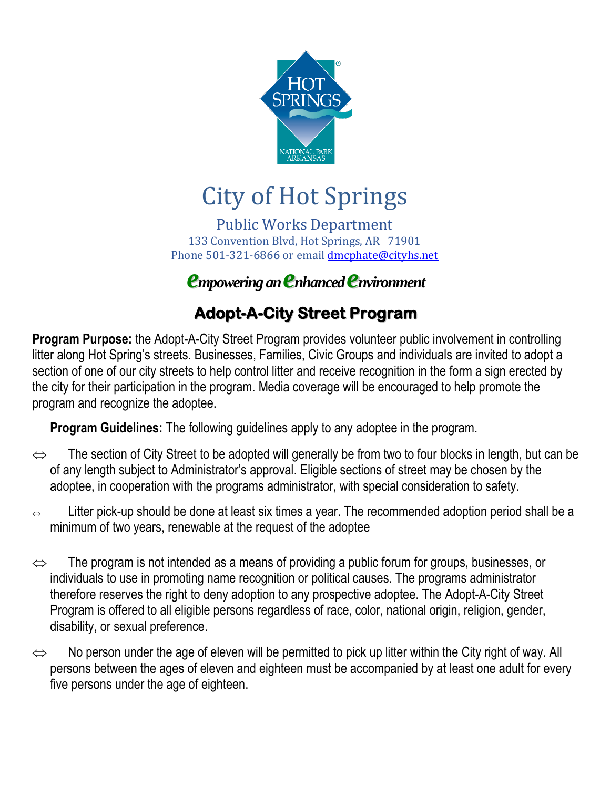

# City of Hot Springs

Public Works Department 133 Convention Blvd, Hot Springs, AR 71901 Phone 501-321-6866 or email [dmcphate@cityhs.net](mailto:dmcphate@cityhs.net)

*empowering an enhanced environment*

# **Adopt-A-City Street Program**

**Program Purpose:** the Adopt-A-City Street Program provides volunteer public involvement in controlling litter along Hot Spring's streets. Businesses, Families, Civic Groups and individuals are invited to adopt a section of one of our city streets to help control litter and receive recognition in the form a sign erected by the city for their participation in the program. Media coverage will be encouraged to help promote the program and recognize the adoptee.

**Program Guidelines:** The following guidelines apply to any adoptee in the program.

- $\Leftrightarrow$  The section of City Street to be adopted will generally be from two to four blocks in length, but can be of any length subject to Administrator's approval. Eligible sections of street may be chosen by the adoptee, in cooperation with the programs administrator, with special consideration to safety.
- $\Rightarrow$  Litter pick-up should be done at least six times a year. The recommended adoption period shall be a minimum of two years, renewable at the request of the adoptee
- $\Leftrightarrow$  The program is not intended as a means of providing a public forum for groups, businesses, or individuals to use in promoting name recognition or political causes. The programs administrator therefore reserves the right to deny adoption to any prospective adoptee. The Adopt-A-City Street Program is offered to all eligible persons regardless of race, color, national origin, religion, gender, disability, or sexual preference.
- $\Leftrightarrow$  No person under the age of eleven will be permitted to pick up litter within the City right of way. All persons between the ages of eleven and eighteen must be accompanied by at least one adult for every five persons under the age of eighteen.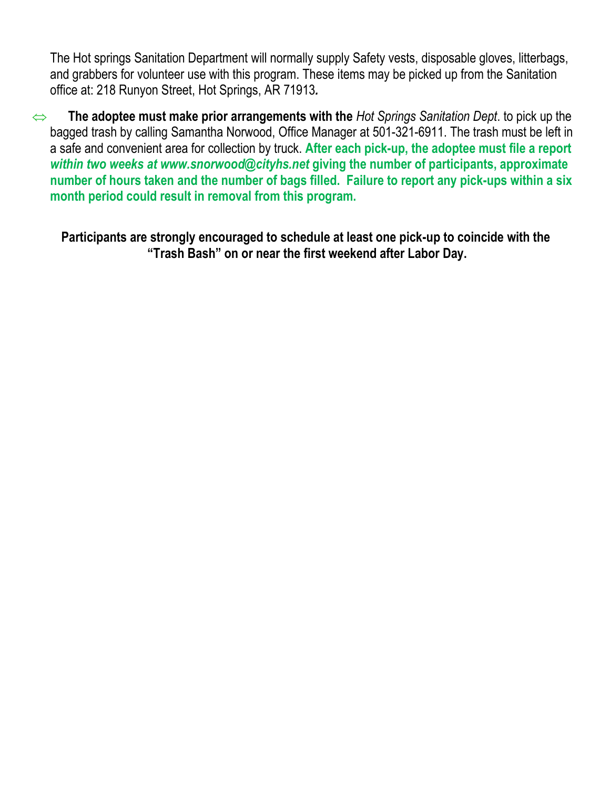The Hot springs Sanitation Department will normally supply Safety vests, disposable gloves, litterbags, and grabbers for volunteer use with this program. These items may be picked up from the Sanitation office at: 218 Runyon Street, Hot Springs, AR 71913*.* 

 **The adoptee must make prior arrangements with the** *Hot Springs Sanitation Dept*. to pick up the bagged trash by calling Samantha Norwood, Office Manager at 501-321-6911. The trash must be left in a safe and convenient area for collection by truck. **After each pick-up, the adoptee must file a report**  *within two weeks at www.snorwood@cityhs.net* **giving the number of participants, approximate number of hours taken and the number of bags filled. Failure to report any pick-ups within a six month period could result in removal from this program.**

**Participants are strongly encouraged to schedule at least one pick-up to coincide with the "Trash Bash" on or near the first weekend after Labor Day.**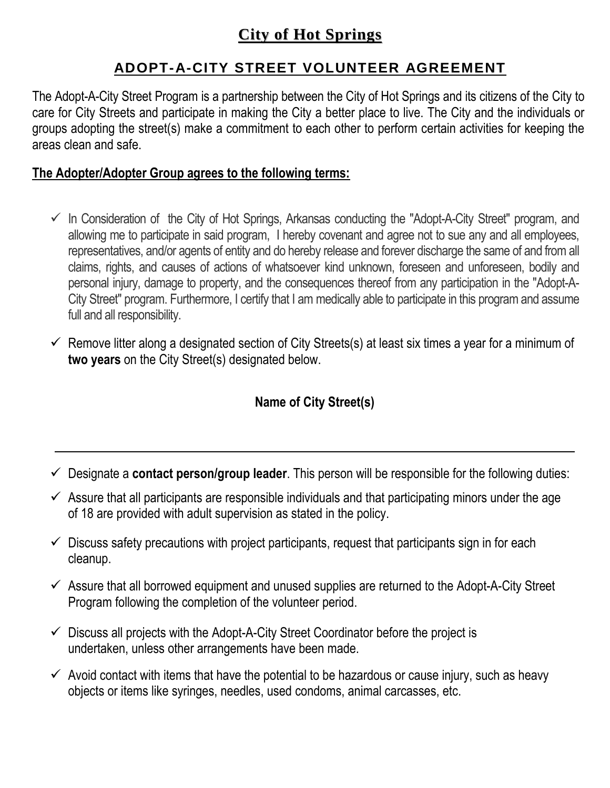# **City of Hot Springs**

## **ADOPT-A-CITY STREET VOLUNTEER AGREEMENT**

The Adopt-A-City Street Program is a partnership between the City of Hot Springs and its citizens of the City to care for City Streets and participate in making the City a better place to live. The City and the individuals or groups adopting the street(s) make a commitment to each other to perform certain activities for keeping the areas clean and safe.

#### **The Adopter/Adopter Group agrees to the following terms:**

- $\checkmark$  In Consideration of the City of Hot Springs, Arkansas conducting the "Adopt-A-City Street" program, and allowing me to participate in said program, I hereby covenant and agree not to sue any and all employees, representatives, and/or agents of entity and do hereby release and forever discharge the same of and from all claims, rights, and causes of actions of whatsoever kind unknown, foreseen and unforeseen, bodily and personal injury, damage to property, and the consequences thereof from any participation in the "Adopt-A-City Street" program. Furthermore, I certify that I am medically able to participate in this program and assume full and all responsibility.
- $\checkmark$  Remove litter along a designated section of City Streets(s) at least six times a year for a minimum of **two years** on the City Street(s) designated below.

## **Name of City Street(s)**

- Designate a **contact person/group leader**. This person will be responsible for the following duties:
- $\checkmark$  Assure that all participants are responsible individuals and that participating minors under the age of 18 are provided with adult supervision as stated in the policy.
- $\checkmark$  Discuss safety precautions with project participants, request that participants sign in for each cleanup.
- $\checkmark$  Assure that all borrowed equipment and unused supplies are returned to the Adopt-A-City Street Program following the completion of the volunteer period.
- $\checkmark$  Discuss all projects with the Adopt-A-City Street Coordinator before the project is undertaken, unless other arrangements have been made.
- $\checkmark$  Avoid contact with items that have the potential to be hazardous or cause injury, such as heavy objects or items like syringes, needles, used condoms, animal carcasses, etc.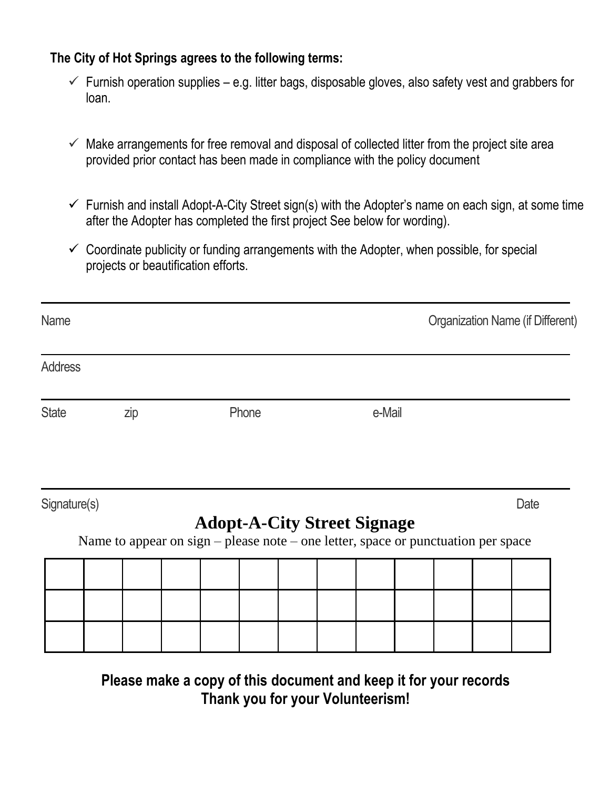### **The City of Hot Springs agrees to the following terms:**

- $\checkmark$  Furnish operation supplies e.g. litter bags, disposable gloves, also safety vest and grabbers for loan.
- $\checkmark$  Make arrangements for free removal and disposal of collected litter from the project site area provided prior contact has been made in compliance with the policy document
- $\checkmark$  Furnish and install Adopt-A-City Street sign(s) with the Adopter's name on each sign, at some time after the Adopter has completed the first project See below for wording).
- $\checkmark$  Coordinate publicity or funding arrangements with the Adopter, when possible, for special projects or beautification efforts.

|     |       |        |                                    | <b>Organization Name (if Different)</b>                                           |
|-----|-------|--------|------------------------------------|-----------------------------------------------------------------------------------|
|     |       |        |                                    |                                                                                   |
| zip | Phone | e-Mail |                                    |                                                                                   |
|     |       |        |                                    | Date                                                                              |
|     |       |        |                                    |                                                                                   |
|     |       |        |                                    |                                                                                   |
|     |       |        | <b>Adopt-A-City Street Signage</b> | Name to appear on sign – please note – one letter, space or punctuation per space |

**Please make a copy of this document and keep it for your records Thank you for your Volunteerism!**